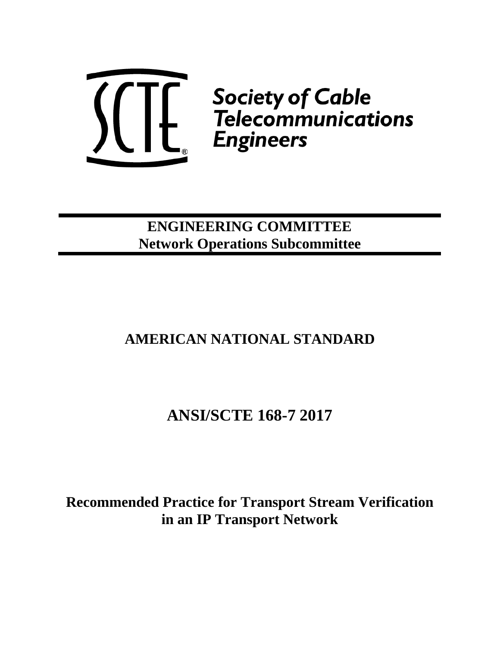

## **ENGINEERING COMMITTEE Network Operations Subcommittee**

## **AMERICAN NATIONAL STANDARD**

# **ANSI/SCTE 168-7 2017**

**Recommended Practice for Transport Stream Verification in an IP Transport Network**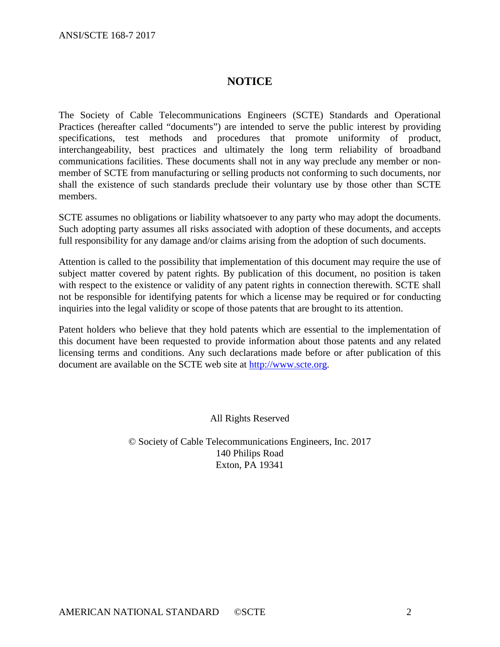## **NOTICE**

The Society of Cable Telecommunications Engineers (SCTE) Standards and Operational Practices (hereafter called "documents") are intended to serve the public interest by providing specifications, test methods and procedures that promote uniformity of product, interchangeability, best practices and ultimately the long term reliability of broadband communications facilities. These documents shall not in any way preclude any member or nonmember of SCTE from manufacturing or selling products not conforming to such documents, nor shall the existence of such standards preclude their voluntary use by those other than SCTE members.

SCTE assumes no obligations or liability whatsoever to any party who may adopt the documents. Such adopting party assumes all risks associated with adoption of these documents, and accepts full responsibility for any damage and/or claims arising from the adoption of such documents.

Attention is called to the possibility that implementation of this document may require the use of subject matter covered by patent rights. By publication of this document, no position is taken with respect to the existence or validity of any patent rights in connection therewith. SCTE shall not be responsible for identifying patents for which a license may be required or for conducting inquiries into the legal validity or scope of those patents that are brought to its attention.

Patent holders who believe that they hold patents which are essential to the implementation of this document have been requested to provide information about those patents and any related licensing terms and conditions. Any such declarations made before or after publication of this document are available on the SCTE web site at [http://www.scte.org.](http://www.scte.org/)

All Rights Reserved

© Society of Cable Telecommunications Engineers, Inc. 2017 140 Philips Road Exton, PA 19341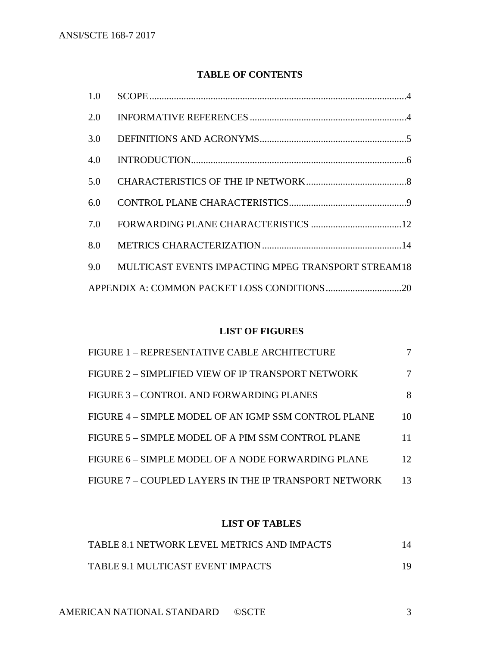## **TABLE OF CONTENTS**

| 1.0 |                                                    |  |
|-----|----------------------------------------------------|--|
| 2.0 |                                                    |  |
| 3.0 |                                                    |  |
| 4.0 |                                                    |  |
| 5.0 |                                                    |  |
| 6.0 |                                                    |  |
| 7.0 |                                                    |  |
| 8.0 |                                                    |  |
| 9.0 | MULTICAST EVENTS IMPACTING MPEG TRANSPORT STREAM18 |  |
|     |                                                    |  |

## **LIST OF FIGURES**

| FIGURE 1 - REPRESENTATIVE CABLE ARCHITECTURE          |    |
|-------------------------------------------------------|----|
| FIGURE 2 - SIMPLIFIED VIEW OF IP TRANSPORT NETWORK    |    |
| FIGURE 3 – CONTROL AND FORWARDING PLANES              | 8  |
| FIGURE 4 – SIMPLE MODEL OF AN IGMP SSM CONTROL PLANE  | 10 |
| FIGURE 5 – SIMPLE MODEL OF A PIM SSM CONTROL PLANE    | 11 |
| FIGURE 6 – SIMPLE MODEL OF A NODE FORWARDING PLANE    | 12 |
| FIGURE 7 – COUPLED LAYERS IN THE IP TRANSPORT NETWORK | 13 |

## **LIST OF TABLES**

| TABLE 8.1 NETWORK LEVEL METRICS AND IMPACTS | 14 |
|---------------------------------------------|----|
| TABLE 9.1 MULTICAST EVENT IMPACTS           |    |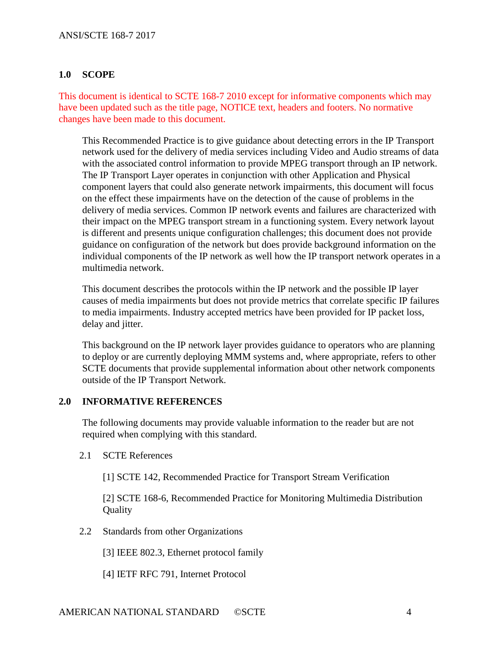## <span id="page-3-0"></span>**1.0 SCOPE**

This document is identical to SCTE 168-7 2010 except for informative components which may have been updated such as the title page, NOTICE text, headers and footers. No normative changes have been made to this document.

This Recommended Practice is to give guidance about detecting errors in the IP Transport network used for the delivery of media services including Video and Audio streams of data with the associated control information to provide MPEG transport through an IP network. The IP Transport Layer operates in conjunction with other Application and Physical component layers that could also generate network impairments, this document will focus on the effect these impairments have on the detection of the cause of problems in the delivery of media services. Common IP network events and failures are characterized with their impact on the MPEG transport stream in a functioning system. Every network layout is different and presents unique configuration challenges; this document does not provide guidance on configuration of the network but does provide background information on the individual components of the IP network as well how the IP transport network operates in a multimedia network.

This document describes the protocols within the IP network and the possible IP layer causes of media impairments but does not provide metrics that correlate specific IP failures to media impairments. Industry accepted metrics have been provided for IP packet loss, delay and jitter.

This background on the IP network layer provides guidance to operators who are planning to deploy or are currently deploying MMM systems and, where appropriate, refers to other SCTE documents that provide supplemental information about other network components outside of the IP Transport Network.

### <span id="page-3-1"></span>**2.0 INFORMATIVE REFERENCES**

The following documents may provide valuable information to the reader but are not required when complying with this standard.

2.1 SCTE References

[1] SCTE 142, Recommended Practice for Transport Stream Verification

[2] SCTE 168-6, Recommended Practice for Monitoring Multimedia Distribution **Ouality** 

2.2 Standards from other Organizations

[3] IEEE 802.3, Ethernet protocol family

[4] IETF RFC 791, Internet Protocol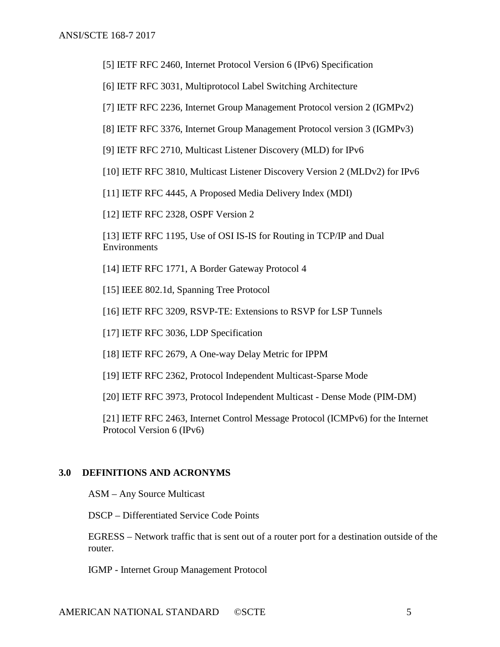[5] IETF RFC 2460, Internet Protocol Version 6 (IPv6) Specification

[6] IETF RFC 3031, Multiprotocol Label Switching Architecture

[7] IETF RFC 2236, Internet Group Management Protocol version 2 (IGMPv2)

[8] IETF RFC 3376, Internet Group Management Protocol version 3 (IGMPv3)

[9] IETF RFC 2710, Multicast Listener Discovery (MLD) for IPv6

[10] IETF RFC 3810, Multicast Listener Discovery Version 2 (MLDv2) for IPv6

[11] IETF RFC 4445, A Proposed Media Delivery Index (MDI)

[12] IETF RFC 2328, OSPF Version 2

[13] IETF RFC 1195, Use of OSI IS-IS for Routing in TCP/IP and Dual Environments

[14] IETF RFC 1771, A Border Gateway Protocol 4

[15] IEEE 802.1d, Spanning Tree Protocol

[16] IETF RFC 3209, RSVP-TE: Extensions to RSVP for LSP Tunnels

[17] IETF RFC 3036, LDP Specification

[18] IETF RFC 2679, A One-way Delay Metric for IPPM

[19] IETF RFC 2362, Protocol Independent Multicast-Sparse Mode

[20] IETF RFC 3973, Protocol Independent Multicast - Dense Mode (PIM-DM)

[21] IETF RFC 2463, Internet Control Message Protocol (ICMPv6) for the Internet Protocol Version 6 (IPv6)

#### <span id="page-4-0"></span>**3.0 DEFINITIONS AND ACRONYMS**

ASM – Any Source Multicast

DSCP – Differentiated Service Code Points

EGRESS – Network traffic that is sent out of a router port for a destination outside of the router.

IGMP - Internet Group Management Protocol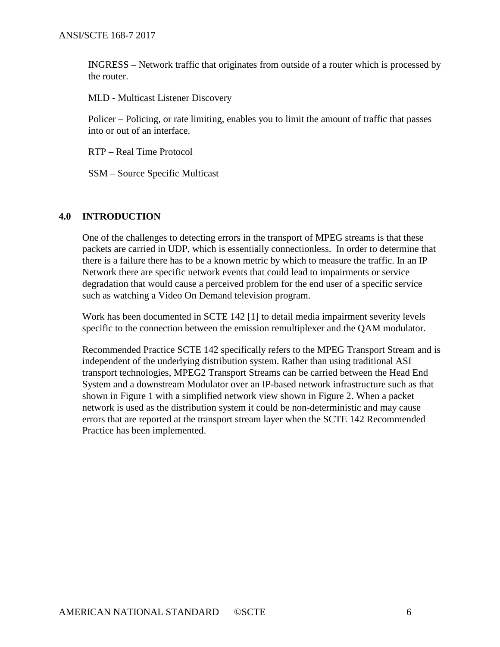INGRESS – Network traffic that originates from outside of a router which is processed by the router.

MLD - Multicast Listener Discovery

Policer – Policing, or rate limiting, enables you to limit the amount of traffic that passes into or out of an interface.

RTP – Real Time Protocol

SSM – Source Specific Multicast

### <span id="page-5-0"></span>**4.0 INTRODUCTION**

One of the challenges to detecting errors in the transport of MPEG streams is that these packets are carried in UDP, which is essentially connectionless. In order to determine that there is a failure there has to be a known metric by which to measure the traffic. In an IP Network there are specific network events that could lead to impairments or service degradation that would cause a perceived problem for the end user of a specific service such as watching a Video On Demand television program.

Work has been documented in SCTE 142 [1] to detail media impairment severity levels specific to the connection between the emission remultiplexer and the QAM modulator.

Recommended Practice SCTE 142 specifically refers to the MPEG Transport Stream and is independent of the underlying distribution system. Rather than using traditional ASI transport technologies, MPEG2 Transport Streams can be carried between the Head End System and a downstream Modulator over an IP-based network infrastructure such as that shown in Figure 1 with a simplified network view shown in Figure 2. When a packet network is used as the distribution system it could be non-deterministic and may cause errors that are reported at the transport stream layer when the SCTE 142 Recommended Practice has been implemented.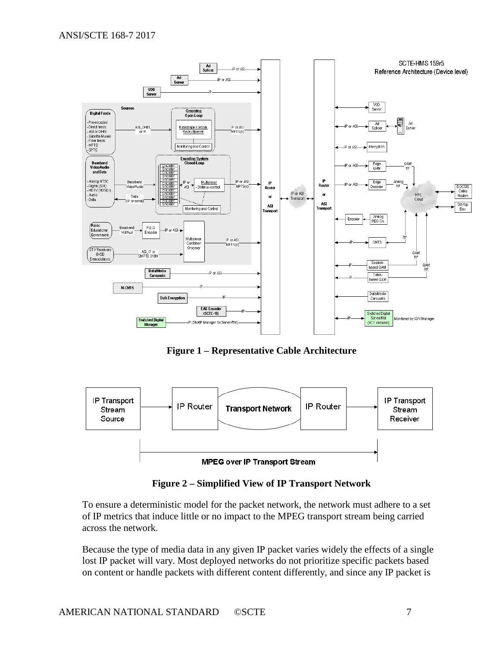

**Figure 1 – Representative Cable Architecture**

<span id="page-6-0"></span>

**Figure 2 – Simplified View of IP Transport Network**

<span id="page-6-1"></span>To ensure a deterministic model for the packet network, the network must adhere to a set of IP metrics that induce little or no impact to the MPEG transport stream being carried across the network.

Because the type of media data in any given IP packet varies widely the effects of a single lost IP packet will vary. Most deployed networks do not prioritize specific packets based on content or handle packets with different content differently, and since any IP packet is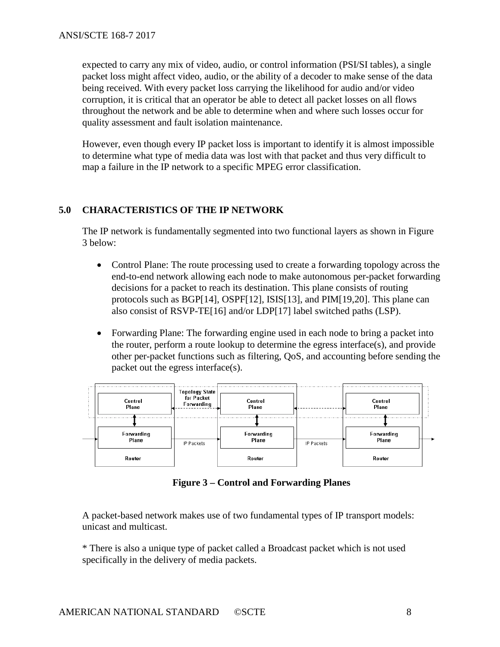expected to carry any mix of video, audio, or control information (PSI/SI tables), a single packet loss might affect video, audio, or the ability of a decoder to make sense of the data being received. With every packet loss carrying the likelihood for audio and/or video corruption, it is critical that an operator be able to detect all packet losses on all flows throughout the network and be able to determine when and where such losses occur for quality assessment and fault isolation maintenance.

However, even though every IP packet loss is important to identify it is almost impossible to determine what type of media data was lost with that packet and thus very difficult to map a failure in the IP network to a specific MPEG error classification.

## <span id="page-7-0"></span>**5.0 CHARACTERISTICS OF THE IP NETWORK**

The IP network is fundamentally segmented into two functional layers as shown in Figure 3 below:

- Control Plane: The route processing used to create a forwarding topology across the end-to-end network allowing each node to make autonomous per-packet forwarding decisions for a packet to reach its destination. This plane consists of routing protocols such as BGP[14], OSPF[12], ISIS[13], and PIM[19,20]. This plane can also consist of RSVP-TE[16] and/or LDP[17] label switched paths (LSP).
- Forwarding Plane: The forwarding engine used in each node to bring a packet into the router, perform a route lookup to determine the egress interface(s), and provide other per-packet functions such as filtering, QoS, and accounting before sending the packet out the egress interface(s).



**Figure 3 – Control and Forwarding Planes**

<span id="page-7-1"></span>A packet-based network makes use of two fundamental types of IP transport models: unicast and multicast.

\* There is also a unique type of packet called a Broadcast packet which is not used specifically in the delivery of media packets.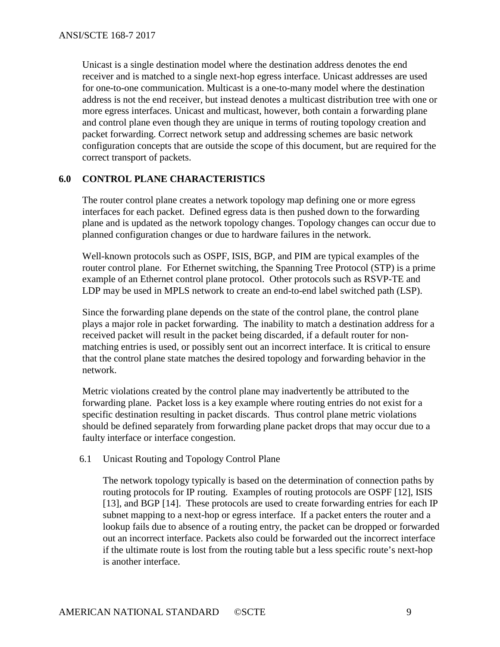Unicast is a single destination model where the destination address denotes the end receiver and is matched to a single next-hop egress interface. Unicast addresses are used for one-to-one communication. Multicast is a one-to-many model where the destination address is not the end receiver, but instead denotes a multicast distribution tree with one or more egress interfaces. Unicast and multicast, however, both contain a forwarding plane and control plane even though they are unique in terms of routing topology creation and packet forwarding. Correct network setup and addressing schemes are basic network configuration concepts that are outside the scope of this document, but are required for the correct transport of packets.

### <span id="page-8-0"></span>**6.0 CONTROL PLANE CHARACTERISTICS**

The router control plane creates a network topology map defining one or more egress interfaces for each packet. Defined egress data is then pushed down to the forwarding plane and is updated as the network topology changes. Topology changes can occur due to planned configuration changes or due to hardware failures in the network.

Well-known protocols such as OSPF, ISIS, BGP, and PIM are typical examples of the router control plane. For Ethernet switching, the Spanning Tree Protocol (STP) is a prime example of an Ethernet control plane protocol. Other protocols such as RSVP-TE and LDP may be used in MPLS network to create an end-to-end label switched path (LSP).

Since the forwarding plane depends on the state of the control plane, the control plane plays a major role in packet forwarding. The inability to match a destination address for a received packet will result in the packet being discarded, if a default router for nonmatching entries is used, or possibly sent out an incorrect interface. It is critical to ensure that the control plane state matches the desired topology and forwarding behavior in the network.

Metric violations created by the control plane may inadvertently be attributed to the forwarding plane. Packet loss is a key example where routing entries do not exist for a specific destination resulting in packet discards. Thus control plane metric violations should be defined separately from forwarding plane packet drops that may occur due to a faulty interface or interface congestion.

#### 6.1 Unicast Routing and Topology Control Plane

The network topology typically is based on the determination of connection paths by routing protocols for IP routing. Examples of routing protocols are OSPF [12], ISIS [13], and BGP [14]. These protocols are used to create forwarding entries for each IP subnet mapping to a next-hop or egress interface. If a packet enters the router and a lookup fails due to absence of a routing entry, the packet can be dropped or forwarded out an incorrect interface. Packets also could be forwarded out the incorrect interface if the ultimate route is lost from the routing table but a less specific route's next-hop is another interface.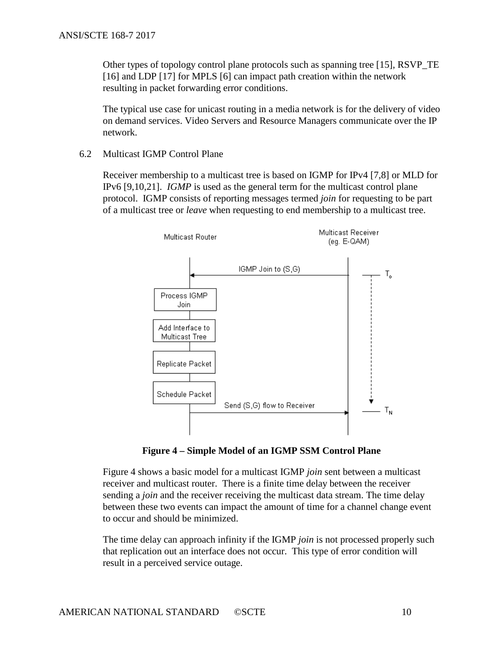Other types of topology control plane protocols such as spanning tree [15], RSVP\_TE [16] and LDP [17] for MPLS [6] can impact path creation within the network resulting in packet forwarding error conditions.

The typical use case for unicast routing in a media network is for the delivery of video on demand services. Video Servers and Resource Managers communicate over the IP network.

6.2 Multicast IGMP Control Plane

Receiver membership to a multicast tree is based on IGMP for IPv4 [7,8] or MLD for IPv6 [9,10,21]. *IGMP* is used as the general term for the multicast control plane protocol. IGMP consists of reporting messages termed *join* for requesting to be part of a multicast tree or *leave* when requesting to end membership to a multicast tree.



**Figure 4 – Simple Model of an IGMP SSM Control Plane**

<span id="page-9-0"></span>Figure 4 shows a basic model for a multicast IGMP *join* sent between a multicast receiver and multicast router. There is a finite time delay between the receiver sending a *join* and the receiver receiving the multicast data stream. The time delay between these two events can impact the amount of time for a channel change event to occur and should be minimized.

The time delay can approach infinity if the IGMP *join* is not processed properly such that replication out an interface does not occur. This type of error condition will result in a perceived service outage.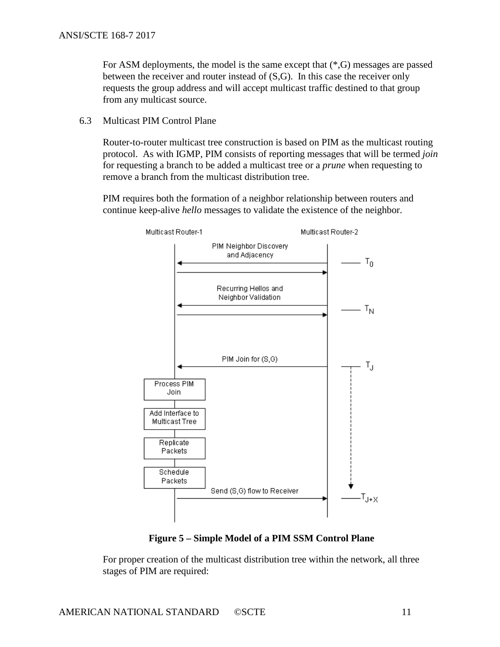For ASM deployments, the model is the same except that (\*,G) messages are passed between the receiver and router instead of (S,G). In this case the receiver only requests the group address and will accept multicast traffic destined to that group from any multicast source.

6.3 Multicast PIM Control Plane

Router-to-router multicast tree construction is based on PIM as the multicast routing protocol. As with IGMP, PIM consists of reporting messages that will be termed *join* for requesting a branch to be added a multicast tree or a *prune* when requesting to remove a branch from the multicast distribution tree.

PIM requires both the formation of a neighbor relationship between routers and continue keep-alive *hello* messages to validate the existence of the neighbor.



**Figure 5 – Simple Model of a PIM SSM Control Plane**

<span id="page-10-0"></span>For proper creation of the multicast distribution tree within the network, all three stages of PIM are required: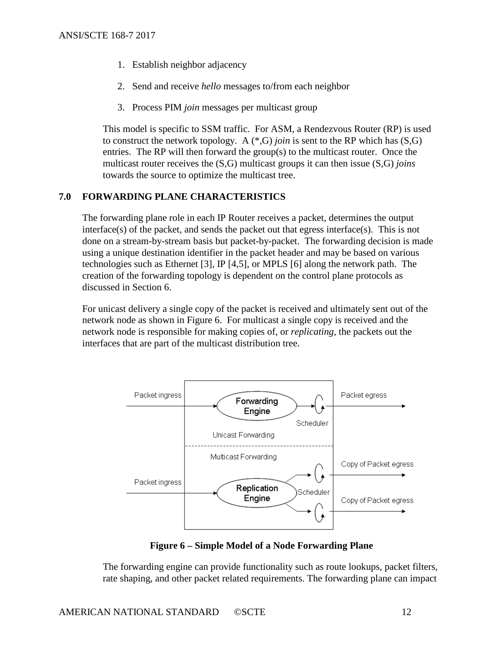- 1. Establish neighbor adjacency
- 2. Send and receive *hello* messages to/from each neighbor
- 3. Process PIM *join* messages per multicast group

This model is specific to SSM traffic. For ASM, a Rendezvous Router (RP) is used to construct the network topology. A  $(*, G)$  *join* is sent to the RP which has  $(S, G)$ entries. The RP will then forward the group(s) to the multicast router. Once the multicast router receives the (S,G) multicast groups it can then issue (S,G) *joins* towards the source to optimize the multicast tree.

## <span id="page-11-0"></span>**7.0 FORWARDING PLANE CHARACTERISTICS**

The forwarding plane role in each IP Router receives a packet, determines the output interface(s) of the packet, and sends the packet out that egress interface(s). This is not done on a stream-by-stream basis but packet-by-packet. The forwarding decision is made using a unique destination identifier in the packet header and may be based on various technologies such as Ethernet [3], IP [4,5], or MPLS [6] along the network path. The creation of the forwarding topology is dependent on the control plane protocols as discussed in Section 6.

For unicast delivery a single copy of the packet is received and ultimately sent out of the network node as shown in Figure 6. For multicast a single copy is received and the network node is responsible for making copies of, or *replicating*, the packets out the interfaces that are part of the multicast distribution tree.



**Figure 6 – Simple Model of a Node Forwarding Plane**

<span id="page-11-1"></span>The forwarding engine can provide functionality such as route lookups, packet filters, rate shaping, and other packet related requirements. The forwarding plane can impact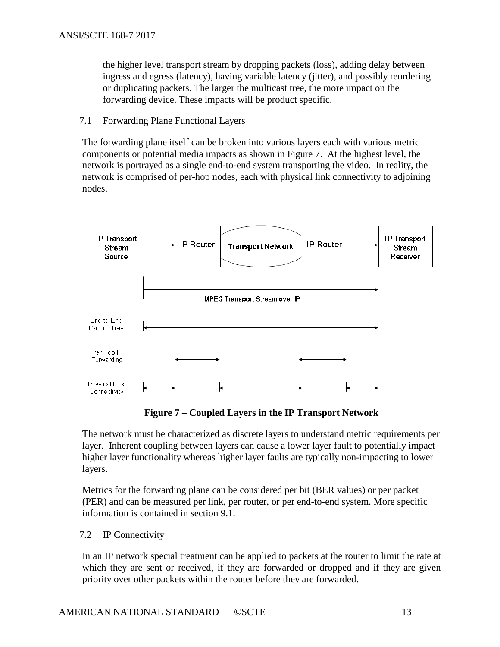the higher level transport stream by dropping packets (loss), adding delay between ingress and egress (latency), having variable latency (jitter), and possibly reordering or duplicating packets. The larger the multicast tree, the more impact on the forwarding device. These impacts will be product specific.

7.1 Forwarding Plane Functional Layers

The forwarding plane itself can be broken into various layers each with various metric components or potential media impacts as shown in Figure 7. At the highest level, the network is portrayed as a single end-to-end system transporting the video. In reality, the network is comprised of per-hop nodes, each with physical link connectivity to adjoining nodes.



**Figure 7 – Coupled Layers in the IP Transport Network**

<span id="page-12-0"></span>The network must be characterized as discrete layers to understand metric requirements per layer. Inherent coupling between layers can cause a lower layer fault to potentially impact higher layer functionality whereas higher layer faults are typically non-impacting to lower layers.

Metrics for the forwarding plane can be considered per bit (BER values) or per packet (PER) and can be measured per link, per router, or per end-to-end system. More specific information is contained in section 9.1.

## 7.2 IP Connectivity

In an IP network special treatment can be applied to packets at the router to limit the rate at which they are sent or received, if they are forwarded or dropped and if they are given priority over other packets within the router before they are forwarded.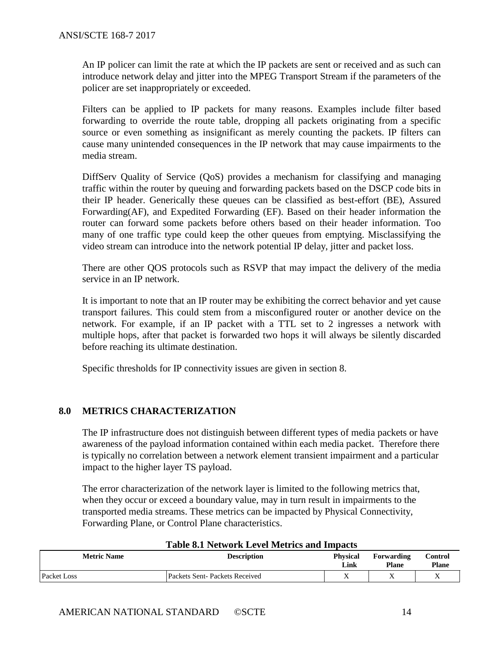An IP policer can limit the rate at which the IP packets are sent or received and as such can introduce network delay and jitter into the MPEG Transport Stream if the parameters of the policer are set inappropriately or exceeded.

Filters can be applied to IP packets for many reasons. Examples include filter based forwarding to override the route table, dropping all packets originating from a specific source or even something as insignificant as merely counting the packets. IP filters can cause many unintended consequences in the IP network that may cause impairments to the media stream.

DiffServ Quality of Service (QoS) provides a mechanism for classifying and managing traffic within the router by queuing and forwarding packets based on the DSCP code bits in their IP header. Generically these queues can be classified as best-effort (BE), Assured Forwarding(AF), and Expedited Forwarding (EF). Based on their header information the router can forward some packets before others based on their header information. Too many of one traffic type could keep the other queues from emptying. Misclassifying the video stream can introduce into the network potential IP delay, jitter and packet loss.

There are other QOS protocols such as RSVP that may impact the delivery of the media service in an IP network.

It is important to note that an IP router may be exhibiting the correct behavior and yet cause transport failures. This could stem from a misconfigured router or another device on the network. For example, if an IP packet with a TTL set to 2 ingresses a network with multiple hops, after that packet is forwarded two hops it will always be silently discarded before reaching its ultimate destination.

Specific thresholds for IP connectivity issues are given in section 8.

## <span id="page-13-0"></span>**8.0 METRICS CHARACTERIZATION**

The IP infrastructure does not distinguish between different types of media packets or have awareness of the payload information contained within each media packet. Therefore there is typically no correlation between a network element transient impairment and a particular impact to the higher layer TS payload.

The error characterization of the network layer is limited to the following metrics that, when they occur or exceed a boundary value, may in turn result in impairments to the transported media streams. These metrics can be impacted by Physical Connectivity, Forwarding Plane, or Control Plane characteristics.

<span id="page-13-1"></span>

| Table 6.1 INCLWOTK LEVEL MICHIES AND HIIDACIS |                               |                         |                            |                         |  |
|-----------------------------------------------|-------------------------------|-------------------------|----------------------------|-------------------------|--|
| <b>Metric Name</b>                            | <b>Description</b>            | <b>Physical</b><br>Link | Forwarding<br><b>Plane</b> | Control<br><b>Plane</b> |  |
| <b>Packet Loss</b>                            | Packets Sent-Packets Received | Δ                       | ∡                          |                         |  |

## **Table 8.1 Network Level Metrics and Impacts**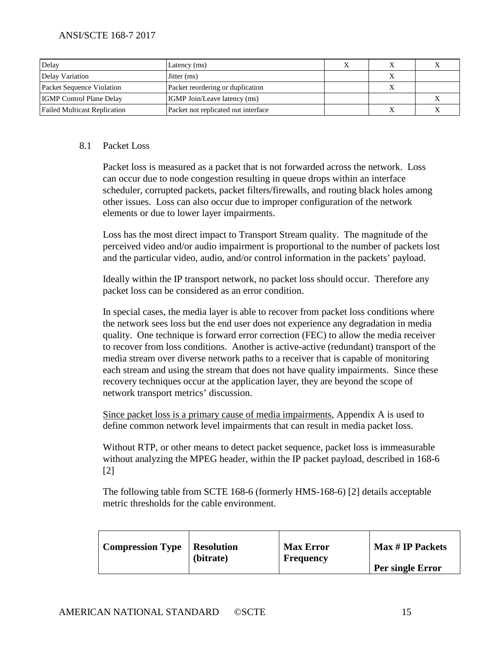| Delay                               | Latency (ms)                        |  |  |
|-------------------------------------|-------------------------------------|--|--|
| Delay Variation                     | Jitter (ms)                         |  |  |
| Packet Sequence Violation           | Packet reordering or duplication    |  |  |
| <b>IGMP</b> Control Plane Delay     | <b>IGMP</b> Join/Leave latency (ms) |  |  |
| <b>Failed Multicast Replication</b> | Packet not replicated out interface |  |  |

#### 8.1 Packet Loss

Packet loss is measured as a packet that is not forwarded across the network. Loss can occur due to node congestion resulting in queue drops within an interface scheduler, corrupted packets, packet filters/firewalls, and routing black holes among other issues. Loss can also occur due to improper configuration of the network elements or due to lower layer impairments.

Loss has the most direct impact to Transport Stream quality. The magnitude of the perceived video and/or audio impairment is proportional to the number of packets lost and the particular video, audio, and/or control information in the packets' payload.

Ideally within the IP transport network, no packet loss should occur. Therefore any packet loss can be considered as an error condition.

In special cases, the media layer is able to recover from packet loss conditions where the network sees loss but the end user does not experience any degradation in media quality. One technique is forward error correction (FEC) to allow the media receiver to recover from loss conditions. Another is active-active (redundant) transport of the media stream over diverse network paths to a receiver that is capable of monitoring each stream and using the stream that does not have quality impairments. Since these recovery techniques occur at the application layer, they are beyond the scope of network transport metrics' discussion.

Since packet loss is a primary cause of media impairments, Appendix A is used to define common network level impairments that can result in media packet loss.

Without RTP, or other means to detect packet sequence, packet loss is immeasurable without analyzing the MPEG header, within the IP packet payload, described in 168-6 [2]

The following table from SCTE 168-6 (formerly HMS-168-6) [2] details acceptable metric thresholds for the cable environment.

| <b>Compression Type</b> | Resolution<br>(bitrate) | <b>Max Error</b><br><b>Frequency</b> | <b>Max # IP Packets</b> |
|-------------------------|-------------------------|--------------------------------------|-------------------------|
|                         |                         |                                      | Per single Error        |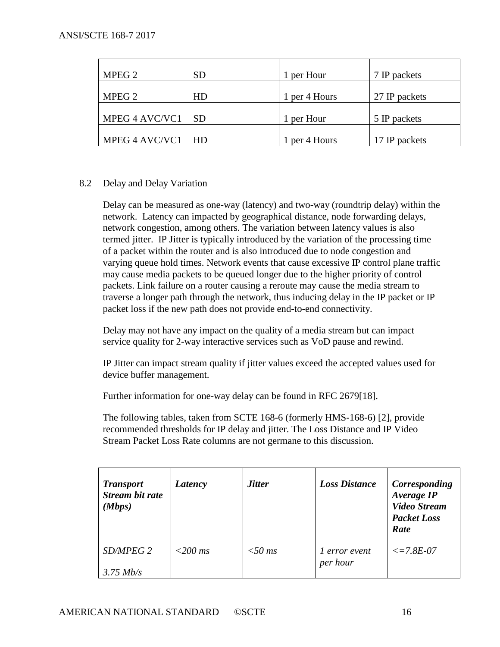| MPEG 2         | <b>SD</b> | 1 per Hour    | 7 IP packets  |
|----------------|-----------|---------------|---------------|
| MPEG 2         | HD        | 1 per 4 Hours | 27 IP packets |
| MPEG 4 AVC/VC1 | <b>SD</b> | 1 per Hour    | 5 IP packets  |
| MPEG 4 AVC/VC1 | l HD      | 1 per 4 Hours | 17 IP packets |

### 8.2 Delay and Delay Variation

Delay can be measured as one-way (latency) and two-way (roundtrip delay) within the network. Latency can impacted by geographical distance, node forwarding delays, network congestion, among others. The variation between latency values is also termed jitter. IP Jitter is typically introduced by the variation of the processing time of a packet within the router and is also introduced due to node congestion and varying queue hold times. Network events that cause excessive IP control plane traffic may cause media packets to be queued longer due to the higher priority of control packets. Link failure on a router causing a reroute may cause the media stream to traverse a longer path through the network, thus inducing delay in the IP packet or IP packet loss if the new path does not provide end-to-end connectivity.

Delay may not have any impact on the quality of a media stream but can impact service quality for 2-way interactive services such as VoD pause and rewind.

IP Jitter can impact stream quality if jitter values exceed the accepted values used for device buffer management.

Further information for one-way delay can be found in RFC 2679[18].

The following tables, taken from SCTE 168-6 (formerly HMS-168-6) [2], provide recommended thresholds for IP delay and jitter. The Loss Distance and IP Video Stream Packet Loss Rate columns are not germane to this discussion.

| <b>Transport</b><br><b>Stream bit rate</b><br>(Mbps) | Latency   | <b>Jitter</b> | <b>Loss Distance</b>             | Corresponding<br>Average IP<br><b>Video Stream</b><br><b>Packet Loss</b><br>Rate |
|------------------------------------------------------|-----------|---------------|----------------------------------|----------------------------------------------------------------------------------|
| SD/MPEG 2<br>$3.75$ Mb/s                             | $<200$ ms | $<$ 50 ms     | <i>l</i> error event<br>per hour | $\epsilon = 7.8E - 07$                                                           |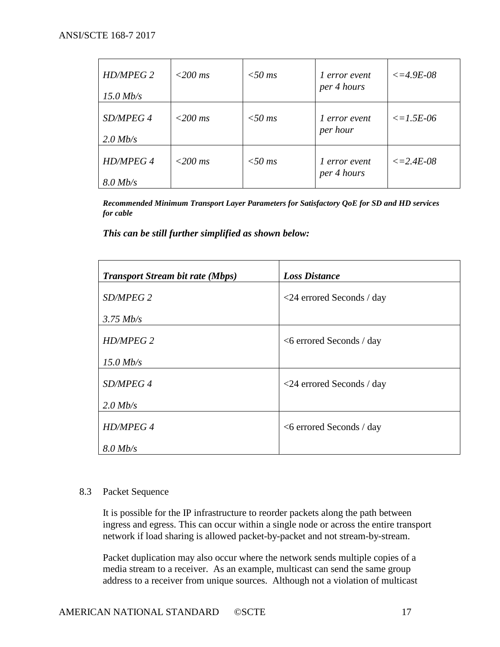| HD/MPEG 2<br>$15.0$ Mb/s       | $<200$ ms | $<$ 50 ms | l error event<br>per 4 hours | $\epsilon = 4.9E - 0.8$ |
|--------------------------------|-----------|-----------|------------------------------|-------------------------|
| SD/MPEG 4<br>$2.0$ Mb/s        | $<200$ ms | $<$ 50 ms | 1 error event<br>per hour    | $\leq$ = 1.5E-06        |
| <b>HD/MPEG 4</b><br>$8.0$ Mb/s | $<200$ ms | $<$ 50 ms | l error event<br>per 4 hours | $\epsilon = 2.4E - 0.8$ |

*Recommended Minimum Transport Layer Parameters for Satisfactory QoE for SD and HD services for cable*

*This can be still further simplified as shown below:*

| <b>Transport Stream bit rate (Mbps)</b> | <b>Loss Distance</b>               |
|-----------------------------------------|------------------------------------|
| SD/MPEG 2                               | $\langle$ 24 errored Seconds / day |
| $3.75$ Mb/s                             |                                    |
| <b>HD/MPEG 2</b>                        | $<6$ errored Seconds / day         |
| $15.0$ Mb/s                             |                                    |
| SD/MPEG 4                               | $\langle$ 24 errored Seconds / day |
| $2.0$ Mb/s                              |                                    |
| <b>HD/MPEG 4</b>                        | $<6$ errored Seconds / day         |
| $8.0$ Mb/s                              |                                    |

#### 8.3 Packet Sequence

It is possible for the IP infrastructure to reorder packets along the path between ingress and egress. This can occur within a single node or across the entire transport network if load sharing is allowed packet-by-packet and not stream-by-stream.

Packet duplication may also occur where the network sends multiple copies of a media stream to a receiver. As an example, multicast can send the same group address to a receiver from unique sources. Although not a violation of multicast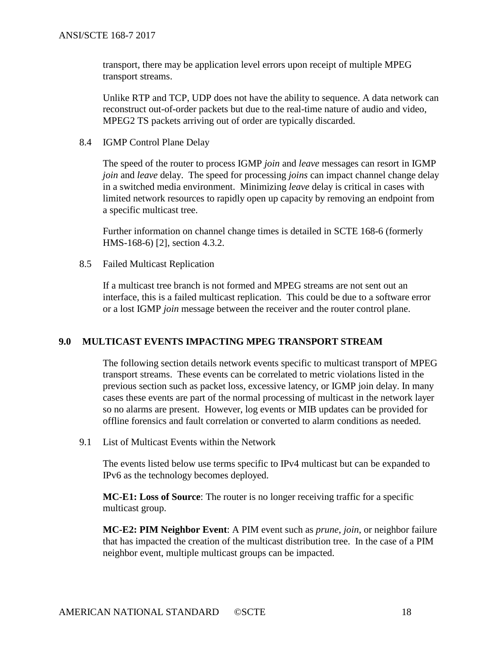transport, there may be application level errors upon receipt of multiple MPEG transport streams.

Unlike RTP and TCP, UDP does not have the ability to sequence. A data network can reconstruct out-of-order packets but due to the real-time nature of audio and video, MPEG2 TS packets arriving out of order are typically discarded.

8.4 IGMP Control Plane Delay

The speed of the router to process IGMP *join* and *leave* messages can resort in IGMP *join* and *leave* delay. The speed for processing *joins* can impact channel change delay in a switched media environment. Minimizing *leave* delay is critical in cases with limited network resources to rapidly open up capacity by removing an endpoint from a specific multicast tree.

Further information on channel change times is detailed in SCTE 168-6 (formerly HMS-168-6) [2], section 4.3.2.

8.5 Failed Multicast Replication

If a multicast tree branch is not formed and MPEG streams are not sent out an interface, this is a failed multicast replication. This could be due to a software error or a lost IGMP *join* message between the receiver and the router control plane.

## <span id="page-17-0"></span>**9.0 MULTICAST EVENTS IMPACTING MPEG TRANSPORT STREAM**

The following section details network events specific to multicast transport of MPEG transport streams. These events can be correlated to metric violations listed in the previous section such as packet loss, excessive latency, or IGMP join delay. In many cases these events are part of the normal processing of multicast in the network layer so no alarms are present. However, log events or MIB updates can be provided for offline forensics and fault correlation or converted to alarm conditions as needed.

9.1 List of Multicast Events within the Network

The events listed below use terms specific to IPv4 multicast but can be expanded to IPv6 as the technology becomes deployed.

**MC-E1: Loss of Source**: The router is no longer receiving traffic for a specific multicast group.

**MC-E2: PIM Neighbor Event**: A PIM event such as *prune*, *join*, or neighbor failure that has impacted the creation of the multicast distribution tree. In the case of a PIM neighbor event, multiple multicast groups can be impacted.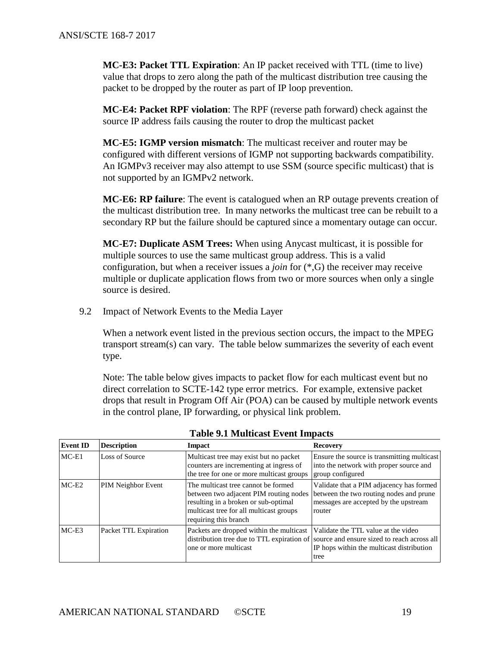**MC-E3: Packet TTL Expiration**: An IP packet received with TTL (time to live) value that drops to zero along the path of the multicast distribution tree causing the packet to be dropped by the router as part of IP loop prevention.

**MC-E4: Packet RPF violation**: The RPF (reverse path forward) check against the source IP address fails causing the router to drop the multicast packet

**MC-E5: IGMP version mismatch**: The multicast receiver and router may be configured with different versions of IGMP not supporting backwards compatibility. An IGMPv3 receiver may also attempt to use SSM (source specific multicast) that is not supported by an IGMPv2 network.

**MC-E6: RP failure**: The event is catalogued when an RP outage prevents creation of the multicast distribution tree. In many networks the multicast tree can be rebuilt to a secondary RP but the failure should be captured since a momentary outage can occur.

**MC-E7: Duplicate ASM Trees:** When using Anycast multicast, it is possible for multiple sources to use the same multicast group address. This is a valid configuration, but when a receiver issues a *join* for (\*,G) the receiver may receive multiple or duplicate application flows from two or more sources when only a single source is desired.

9.2 Impact of Network Events to the Media Layer

When a network event listed in the previous section occurs, the impact to the MPEG transport stream(s) can vary. The table below summarizes the severity of each event type.

Note: The table below gives impacts to packet flow for each multicast event but no direct correlation to SCTE-142 type error metrics. For example, extensive packet drops that result in Program Off Air (POA) can be caused by multiple network events in the control plane, IP forwarding, or physical link problem.

<span id="page-18-0"></span>

| <b>Event ID</b> | <b>Description</b>        | <b>Impact</b>                                                                                                                                                                             | <b>Recovery</b>                                                                                                                                                                    |
|-----------------|---------------------------|-------------------------------------------------------------------------------------------------------------------------------------------------------------------------------------------|------------------------------------------------------------------------------------------------------------------------------------------------------------------------------------|
| $MC-E1$         | Loss of Source            | Multicast tree may exist but no packet<br>counters are incrementing at ingress of<br>the tree for one or more multicast groups                                                            | Ensure the source is transmitting multicast<br>into the network with proper source and<br>group configured                                                                         |
| $MC-E2$         | <b>PIM Neighbor Event</b> | The multicast tree cannot be formed<br>between two adjacent PIM routing nodes<br>resulting in a broken or sub-optimal<br>multicast tree for all multicast groups<br>requiring this branch | Validate that a PIM adjacency has formed<br>between the two routing nodes and prune<br>messages are accepted by the upstream<br>router                                             |
| $MC-E3$         | Packet TTL Expiration     | Packets are dropped within the multicast<br>one or more multicast                                                                                                                         | Validate the TTL value at the video<br>distribution tree due to TTL expiration of source and ensure sized to reach across all<br>IP hops within the multicast distribution<br>tree |

**Table 9.1 Multicast Event Impacts**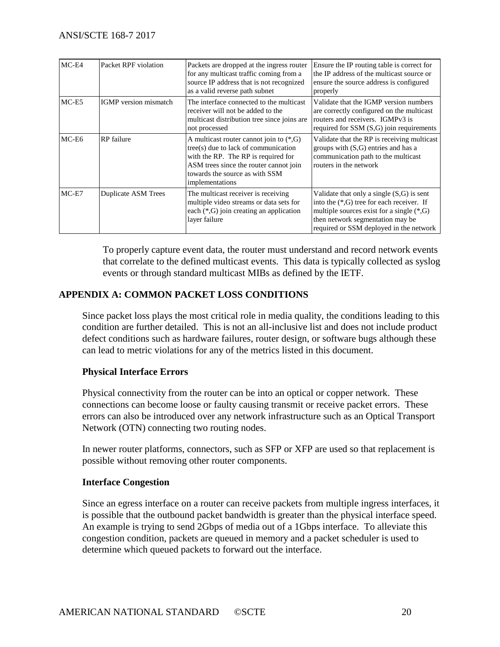| $MC-E4$ | Packet RPF violation         | Packets are dropped at the ingress router<br>for any multicast traffic coming from a<br>source IP address that is not recognized<br>as a valid reverse path subnet                                                         | Ensure the IP routing table is correct for<br>the IP address of the multicast source or<br>ensure the source address is configured<br>properly                                                                             |
|---------|------------------------------|----------------------------------------------------------------------------------------------------------------------------------------------------------------------------------------------------------------------------|----------------------------------------------------------------------------------------------------------------------------------------------------------------------------------------------------------------------------|
| $MC-E5$ | <b>IGMP</b> version mismatch | The interface connected to the multicast<br>receiver will not be added to the<br>multicast distribution tree since joins are<br>not processed                                                                              | Validate that the IGMP version numbers<br>are correctly configured on the multicast<br>routers and receivers. IGMPv3 is<br>required for SSM (S,G) join requirements                                                        |
| MC-E6   | <b>RP</b> failure            | A multicast router cannot join to $(*, G)$<br>$tree(s)$ due to lack of communication<br>with the RP. The RP is required for<br>ASM trees since the router cannot join<br>towards the source as with SSM<br>implementations | Validate that the RP is receiving multicast<br>groups with $(S, G)$ entries and has a<br>communication path to the multicast<br>routers in the network                                                                     |
| $MC-E7$ | <b>Duplicate ASM Trees</b>   | The multicast receiver is receiving<br>multiple video streams or data sets for<br>each $(*, G)$ join creating an application<br>layer failure                                                                              | Validate that only a single $(S,G)$ is sent<br>into the $(*, G)$ tree for each receiver. If<br>multiple sources exist for a single $(*, G)$<br>then network segmentation may be<br>required or SSM deployed in the network |

To properly capture event data, the router must understand and record network events that correlate to the defined multicast events. This data is typically collected as syslog events or through standard multicast MIBs as defined by the IETF.

## <span id="page-19-0"></span>**APPENDIX A: COMMON PACKET LOSS CONDITIONS**

Since packet loss plays the most critical role in media quality, the conditions leading to this condition are further detailed. This is not an all-inclusive list and does not include product defect conditions such as hardware failures, router design, or software bugs although these can lead to metric violations for any of the metrics listed in this document.

## **Physical Interface Errors**

Physical connectivity from the router can be into an optical or copper network. These connections can become loose or faulty causing transmit or receive packet errors. These errors can also be introduced over any network infrastructure such as an Optical Transport Network (OTN) connecting two routing nodes.

In newer router platforms, connectors, such as SFP or XFP are used so that replacement is possible without removing other router components.

### **Interface Congestion**

Since an egress interface on a router can receive packets from multiple ingress interfaces, it is possible that the outbound packet bandwidth is greater than the physical interface speed. An example is trying to send 2Gbps of media out of a 1Gbps interface. To alleviate this congestion condition, packets are queued in memory and a packet scheduler is used to determine which queued packets to forward out the interface.